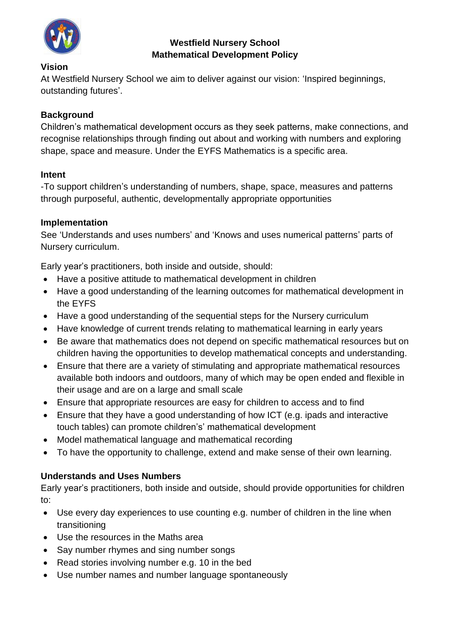

# **Westfield Nursery School Mathematical Development Policy**

#### **Vision**

At Westfield Nursery School we aim to deliver against our vision: 'Inspired beginnings, outstanding futures'.

## **Background**

Children's mathematical development occurs as they seek patterns, make connections, and recognise relationships through finding out about and working with numbers and exploring shape, space and measure. Under the EYFS Mathematics is a specific area.

## **Intent**

-To support children's understanding of numbers, shape, space, measures and patterns through purposeful, authentic, developmentally appropriate opportunities

## **Implementation**

See 'Understands and uses numbers' and 'Knows and uses numerical patterns' parts of Nursery curriculum.

Early year's practitioners, both inside and outside, should:

- Have a positive attitude to mathematical development in children
- Have a good understanding of the learning outcomes for mathematical development in the EYFS
- Have a good understanding of the sequential steps for the Nursery curriculum
- Have knowledge of current trends relating to mathematical learning in early years
- Be aware that mathematics does not depend on specific mathematical resources but on children having the opportunities to develop mathematical concepts and understanding.
- Ensure that there are a variety of stimulating and appropriate mathematical resources available both indoors and outdoors, many of which may be open ended and flexible in their usage and are on a large and small scale
- Ensure that appropriate resources are easy for children to access and to find
- Ensure that they have a good understanding of how ICT (e.g. ipads and interactive touch tables) can promote children's' mathematical development
- Model mathematical language and mathematical recording
- To have the opportunity to challenge, extend and make sense of their own learning.

# **Understands and Uses Numbers**

Early year's practitioners, both inside and outside, should provide opportunities for children to:

- Use every day experiences to use counting e.g. number of children in the line when transitioning
- Use the resources in the Maths area
- Say number rhymes and sing number songs
- Read stories involving number e.g. 10 in the bed
- Use number names and number language spontaneously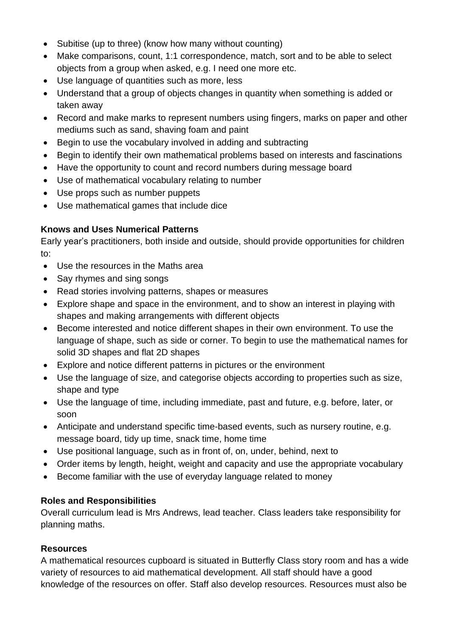- Subitise (up to three) (know how many without counting)
- Make comparisons, count, 1:1 correspondence, match, sort and to be able to select objects from a group when asked, e.g. I need one more etc.
- Use language of quantities such as more, less
- Understand that a group of objects changes in quantity when something is added or taken away
- Record and make marks to represent numbers using fingers, marks on paper and other mediums such as sand, shaving foam and paint
- Begin to use the vocabulary involved in adding and subtracting
- Begin to identify their own mathematical problems based on interests and fascinations
- Have the opportunity to count and record numbers during message board
- Use of mathematical vocabulary relating to number
- Use props such as number puppets
- Use mathematical games that include dice

# **Knows and Uses Numerical Patterns**

Early year's practitioners, both inside and outside, should provide opportunities for children to:

- Use the resources in the Maths area
- Say rhymes and sing songs
- Read stories involving patterns, shapes or measures
- Explore shape and space in the environment, and to show an interest in playing with shapes and making arrangements with different objects
- Become interested and notice different shapes in their own environment. To use the language of shape, such as side or corner. To begin to use the mathematical names for solid 3D shapes and flat 2D shapes
- Explore and notice different patterns in pictures or the environment
- Use the language of size, and categorise objects according to properties such as size, shape and type
- Use the language of time, including immediate, past and future, e.g. before, later, or soon
- Anticipate and understand specific time-based events, such as nursery routine, e.g. message board, tidy up time, snack time, home time
- Use positional language, such as in front of, on, under, behind, next to
- Order items by length, height, weight and capacity and use the appropriate vocabulary
- Become familiar with the use of everyday language related to money

## **Roles and Responsibilities**

Overall curriculum lead is Mrs Andrews, lead teacher. Class leaders take responsibility for planning maths.

## **Resources**

A mathematical resources cupboard is situated in Butterfly Class story room and has a wide variety of resources to aid mathematical development. All staff should have a good knowledge of the resources on offer. Staff also develop resources. Resources must also be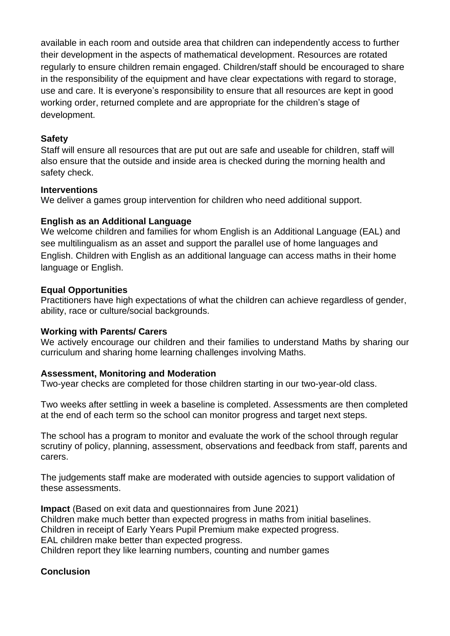available in each room and outside area that children can independently access to further their development in the aspects of mathematical development. Resources are rotated regularly to ensure children remain engaged. Children/staff should be encouraged to share in the responsibility of the equipment and have clear expectations with regard to storage, use and care. It is everyone's responsibility to ensure that all resources are kept in good working order, returned complete and are appropriate for the children's stage of development.

#### **Safety**

Staff will ensure all resources that are put out are safe and useable for children, staff will also ensure that the outside and inside area is checked during the morning health and safety check.

#### **Interventions**

We deliver a games group intervention for children who need additional support.

## **English as an Additional Language**

We welcome children and families for whom English is an Additional Language (EAL) and see multilingualism as an asset and support the parallel use of home languages and English. Children with English as an additional language can access maths in their home language or English.

#### **Equal Opportunities**

Practitioners have high expectations of what the children can achieve regardless of gender, ability, race or culture/social backgrounds.

#### **Working with Parents/ Carers**

We actively encourage our children and their families to understand Maths by sharing our curriculum and sharing home learning challenges involving Maths.

#### **Assessment, Monitoring and Moderation**

Two-year checks are completed for those children starting in our two-year-old class.

Two weeks after settling in week a baseline is completed. Assessments are then completed at the end of each term so the school can monitor progress and target next steps.

The school has a program to monitor and evaluate the work of the school through regular scrutiny of policy, planning, assessment, observations and feedback from staff, parents and carers.

The judgements staff make are moderated with outside agencies to support validation of these assessments.

**Impact** (Based on exit data and questionnaires from June 2021) Children make much better than expected progress in maths from initial baselines. Children in receipt of Early Years Pupil Premium make expected progress. EAL children make better than expected progress. Children report they like learning numbers, counting and number games

## **Conclusion**